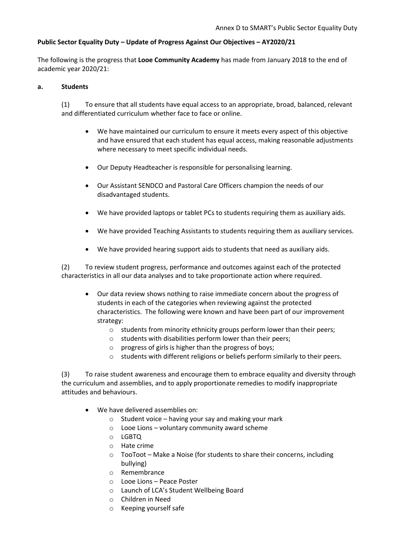# **Public Sector Equality Duty – Update of Progress Against Our Objectives – AY2020/21**

The following is the progress that **Looe Community Academy** has made from January 2018 to the end of academic year 2020/21:

#### **a. Students**

(1) To ensure that all students have equal access to an appropriate, broad, balanced, relevant and differentiated curriculum whether face to face or online.

- We have maintained our curriculum to ensure it meets every aspect of this objective and have ensured that each student has equal access, making reasonable adjustments where necessary to meet specific individual needs.
- Our Deputy Headteacher is responsible for personalising learning.
- Our Assistant SENDCO and Pastoral Care Officers champion the needs of our disadvantaged students.
- We have provided laptops or tablet PCs to students requiring them as auxiliary aids.
- We have provided Teaching Assistants to students requiring them as auxiliary services.
- We have provided hearing support aids to students that need as auxiliary aids.

(2) To review student progress, performance and outcomes against each of the protected characteristics in all our data analyses and to take proportionate action where required.

- Our data review shows nothing to raise immediate concern about the progress of students in each of the categories when reviewing against the protected characteristics. The following were known and have been part of our improvement strategy:
	- o students from minority ethnicity groups perform lower than their peers;
	- o students with disabilities perform lower than their peers;
	- o progress of girls is higher than the progress of boys;
	- o students with different religions or beliefs perform similarly to their peers.

(3) To raise student awareness and encourage them to embrace equality and diversity through the curriculum and assemblies, and to apply proportionate remedies to modify inappropriate attitudes and behaviours.

- We have delivered assemblies on:
	- $\circ$  Student voice having your say and making your mark
	- o Looe Lions voluntary community award scheme
	- o LGBTQ
	- o Hate crime
	- o TooToot Make a Noise (for students to share their concerns, including bullying)
	- o Remembrance
	- o Looe Lions Peace Poster
	- o Launch of LCA's Student Wellbeing Board
	- o Children in Need
	- o Keeping yourself safe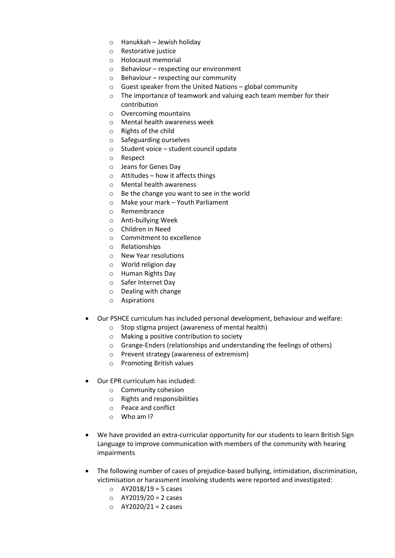- o Hanukkah Jewish holiday
- o Restorative justice
- o Holocaust memorial
- o Behaviour respecting our environment
- $\circ$  Behaviour respecting our community
- $\circ$  Guest speaker from the United Nations global community
- o The importance of teamwork and valuing each team member for their contribution
- o Overcoming mountains
- o Mental health awareness week
- o Rights of the child
- o Safeguarding ourselves
- o Student voice student council update
- o Respect
- o Jeans for Genes Day
- $\circ$  Attitudes how it affects things
- o Mental health awareness
- o Be the change you want to see in the world
- o Make your mark Youth Parliament
- o Remembrance
- o Anti-bullying Week
- o Children in Need
- o Commitment to excellence
- o Relationships
- o New Year resolutions
- o World religion day
- o Human Rights Day
- o Safer Internet Day
- o Dealing with change
- o Aspirations
- Our PSHCE curriculum has included personal development, behaviour and welfare:
	- o Stop stigma project (awareness of mental health)
	- o Making a positive contribution to society
	- o Grange-Enders (relationships and understanding the feelings of others)
	- o Prevent strategy (awareness of extremism)
	- o Promoting British values
- Our EPR curriculum has included:
	- o Community cohesion
	- o Rights and responsibilities
	- o Peace and conflict
	- $\circ$  Who am I?
- We have provided an extra-curricular opportunity for our students to learn British Sign Language to improve communication with members of the community with hearing impairments
- The following number of cases of prejudice-based bullying, intimidation, discrimination, victimisation or harassment involving students were reported and investigated:
	- $O$  AY2018/19 = 5 cases
	- $O$  AY2019/20 = 2 cases
	- $O$  AY2020/21 = 2 cases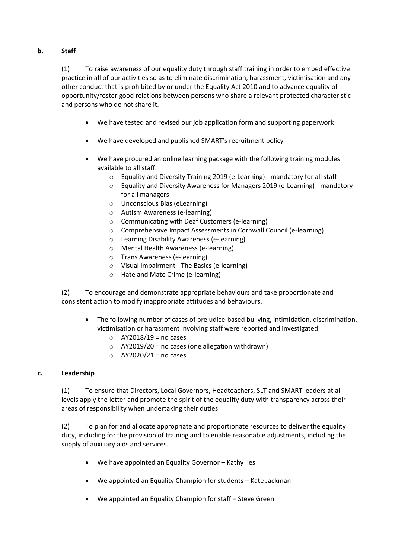# **b. Staff**

(1) To raise awareness of our equality duty through staff training in order to embed effective practice in all of our activities so as to eliminate discrimination, harassment, victimisation and any other conduct that is prohibited by or under the Equality Act 2010 and to advance equality of opportunity/foster good relations between persons who share a relevant protected characteristic and persons who do not share it.

- We have tested and revised our job application form and supporting paperwork
- We have developed and published SMART's recruitment policy
- We have procured an online learning package with the following training modules available to all staff:
	- o Equality and Diversity Training 2019 (e-Learning) mandatory for all staff
	- o Equality and Diversity Awareness for Managers 2019 (e-Learning) mandatory for all managers
	- o Unconscious Bias (eLearning)
	- o Autism Awareness (e-learning)
	- o Communicating with Deaf Customers (e-learning)
	- o Comprehensive Impact Assessments in Cornwall Council (e-learning)
	- o Learning Disability Awareness (e-learning)
	- o Mental Health Awareness (e-learning)
	- o Trans Awareness (e-learning)
	- o Visual Impairment The Basics (e-learning)
	- o Hate and Mate Crime (e-learning)

(2) To encourage and demonstrate appropriate behaviours and take proportionate and consistent action to modify inappropriate attitudes and behaviours.

- The following number of cases of prejudice-based bullying, intimidation, discrimination, victimisation or harassment involving staff were reported and investigated:
	- $\circ$  AY2018/19 = no cases
	- $\circ$  AY2019/20 = no cases (one allegation withdrawn)
	- $O$  AY2020/21 = no cases

### **c. Leadership**

(1) To ensure that Directors, Local Governors, Headteachers, SLT and SMART leaders at all levels apply the letter and promote the spirit of the equality duty with transparency across their areas of responsibility when undertaking their duties.

(2) To plan for and allocate appropriate and proportionate resources to deliver the equality duty, including for the provision of training and to enable reasonable adjustments, including the supply of auxiliary aids and services.

- We have appointed an Equality Governor Kathy Iles
- We appointed an Equality Champion for students Kate Jackman
- We appointed an Equality Champion for staff Steve Green